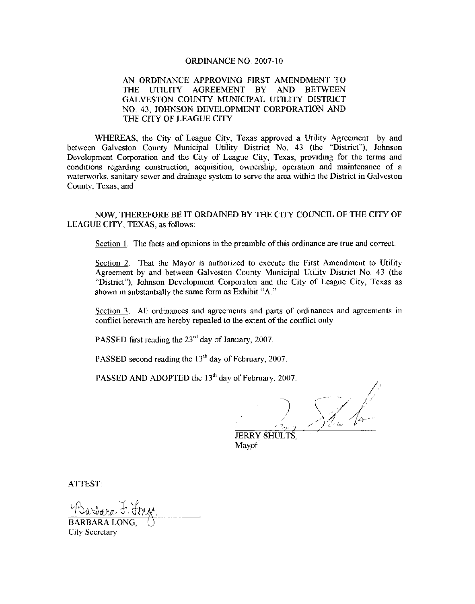#### ORDINANCE NO. 2007-10

#### AN ORDINANCE APPROVING FIRST AMENDMENT TO THE UTILITY AGREEMENT BY AND BETWEEN GALVESTON COUNTY MUNICIPAL UTILITY DISTRICT NO. 43, JOHNSON DEVELOPMENT CORPORATION AND THE CITY OF LEAGUE CITY

WHEREAS, the City of League City, Texas approved <sup>a</sup> Utility Agreement by and between Galveston County Municipal Utility District No. 43 ( the " District'), Johnson Development Corporation and the City of League City, Texas, providing for the terms and conditions regarding construction, acquisition, ownership, operation and maintenance of a waterworks, sanitary sewer and drainage system to serve the area within the District in Galveston County, Texas, and

NOW, THEREFORE BE IT ORDAINED BY THE CITY COUNCIL OF THE CITY OF LEAGUE CITY, TEXAS, as follows:

Section 1. The facts and opinions in the preamble of this ordinance are true and correct.

Section 2. That the Mayor is authorized to execute the First Amendment to Utility Agreement by and between Galveston County Municipal Utility District No. 43 ( the "District"), Johnson Development Corporaton and the City of League City, Texas as shown in substantially the same form as Exhibit "A."

Section 3. All ordinances and agreements and parts of ordinances and agreements in conflict herewith are hereby repealed to the extent of the conflict only.

PASSED first reading the  $23<sup>rd</sup>$  day of January, 2007.

PASSED second reading the  $13<sup>th</sup>$  day of February, 2007,

PASSED AND ADOPTED the 13<sup>th</sup> day of February, 2007.

 $\sqrt{d}$ 

JERRY SHULTS, Mayor

ATTEST:

Barbara F. Jona BARBARA LONG, City Secretary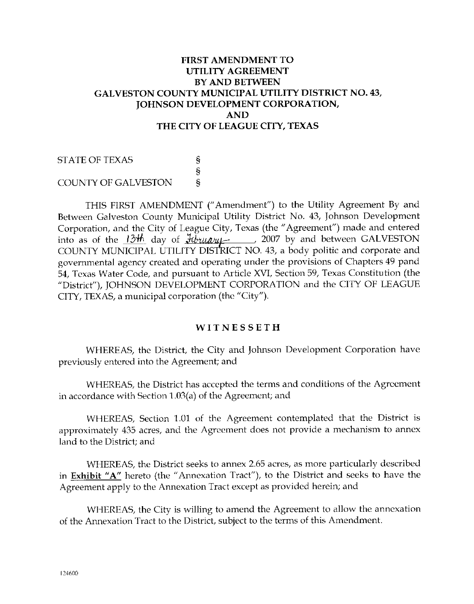## FIRST AMENDMENT TO UTILITY AGREEMENT BY AND BETWEEN GALVESTON COUNTY MUNICIPAL UTILITY DISTRICT NO. 43, JOHNSON DEVELOPMENT CORPORATION, AND THE CITY OF LEAGUE CITY, TEXAS

STATE OF TEXAS ş  $\S$  $\tilde{\mathbf{s}}$ COUNTY OF GALVESTON

THIS FIRST AMENDMENT ("Amendment") to the Utility Agreement By and Between Galveston County Municipal Utility District No. 43, Johnson Development Corporation, and the City of League City, Texas (the "Agreement") made and entered into as of the  $13<sup>th</sup>$  day of  $\frac{7}{2}$  drugger 2007 by and between GALVESTON COUNTY MUNICIPAL UTILITY DISTRICT NO. 43, a body politic and corporate and governmental agency created and operating under the provisions of Chapters 49 pand 54, Texas Water Code, and pursuant to Article XVI, Section 59, Texas Constitution (the District'), JOHNSON DEVELOPMENT CORPORATION and the CITY OF LEAGUE CITY, TEXAS, a municipal corporation (the "City ").

### **WITNESSETH**

WHEREAS, the District, the City and Johnson Development Corporation have previously entered into the Agreement; and

WHEREAS, the District has accepted the terms and conditions of the Agreement in accordance with Section  $1.03(a)$  of the Agreement; and

WHEREAS, Section 1.01 of the Agreement contemplated that the District is approximately 435 acres, and the Agreement does not provide a mechanism to annex land to the District; and

WHEREAS, the District seeks to annex 2.65 acres, as more particularly described in Exhibit "A" hereto (the "Annexation Tract'), to the District and seeks to have the Agreement apply to the Annexation Tract except as provided herein; and

WHEREAS, the City is willing to amend the Agreement to allow the annexation of the Annexation Tract to the District, subject to the terms of this Amendment.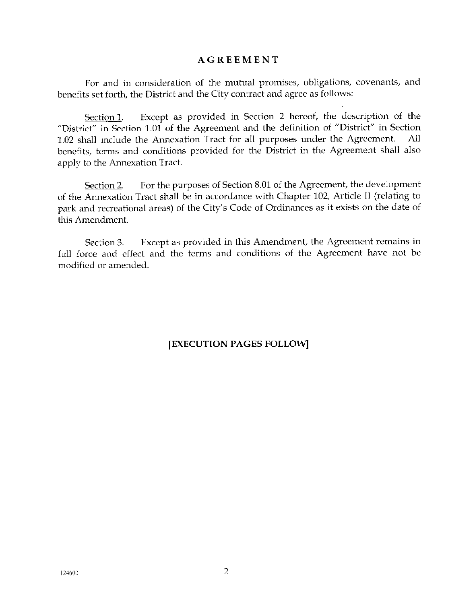### AGREEMENT

For and in consideration of the mutual promises, obligations, covenants, and benefits set forth, the District and the City contract and agree as follows:

Section 1. Except as provided in Section 2 hereof, the description of the District" in Section 1.01 of the Agreement and the definition of "District" in Section 1.02 shall include the Annexation Tract for all purposes under the Agreement. benefits, terms and conditions provided for the District in the Agreement shall also apply to the Annexation Tract.

Section 2. For the purposes of Section 8.01 of the Agreement, the development of the Annexation Tract shall be in accordance with Chapter 102, Article Il (relating to park and recreational areas) of the City's Code of Ordinances as it exists on the date of this Amendment.

Section 3. Except as provided in this Amendment, the Agreement remains in full force and effect and the terms and conditions of the Agreement have not be modified or amended.

EXECUTION PAGES FOLLOW]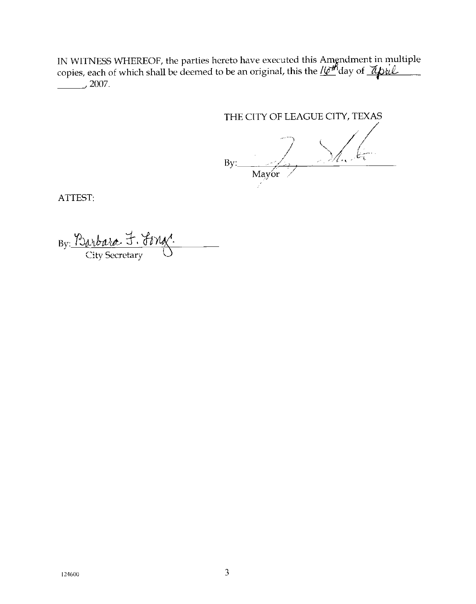IN WITNESS WHEREOF, the parties hereto have executed this Amendment in multiple<br>copies, each of which shall be deemed to be an original, this the *lo<sup>nf</sup>*day of *Apul*  $2007.$ 

# THE CITY OF LEAGUE CITY, TEXAS

 $Bv:$ Mayor !

ATTEST:

By: <u>Purbara</u> F.<br>City Secretary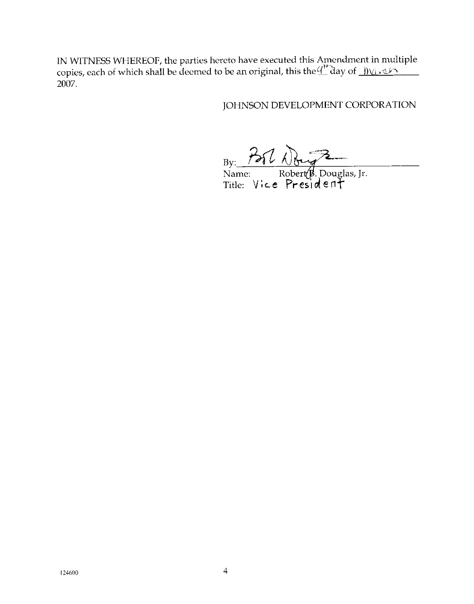IN WITNESS WHEREOF, the parties hereto have executed this Amendment in multiple copies, each of which shall be decmed to be an original, this the  $\frac{d^n}{d}$ day of  $\frac{f(y_1, y_2, y_1, \ldots, y_n)}{d}$ 2007.

JOHNSON DEVELOPMENT CORPORATION

 $B_y$ :  $\frac{7}{100}$   $\sqrt{\frac{2}{100}}$ <br>Name: Robert (p. Douglas, Jr.<br>Title: Vice President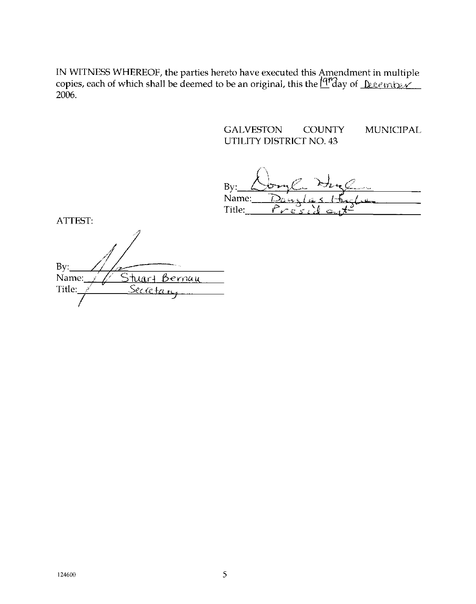IN WITNESS WHEREOF, the parties hereto have executed this Amendment in multiple copies, each of which shall be deemed to be an original, this the  $\frac{fqr}{dq}$  of  $\frac{p_{\ell}e_{f}r_{\ell}y_{\ell}}{p_{\ell}e_{f}r_{\ell}y_{\ell}}$ 2006

> **GALVESTON COUNTY** MUNICIPAL **UTILITY DISTRICT NO 43**

 $Bv$ Name: Title:

ATTEST:

 $Bv:$ Stuart Bernau Name: Secreta Title: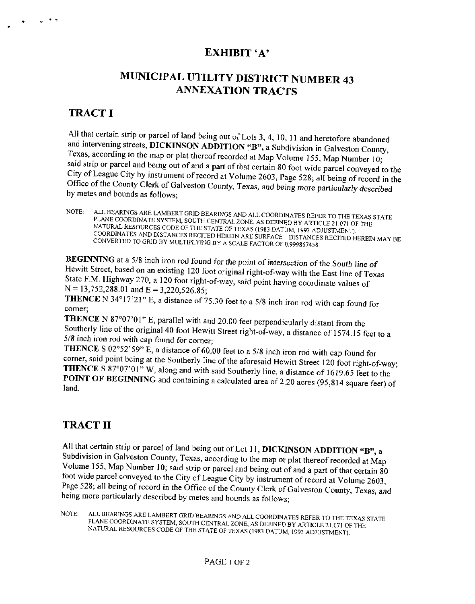## EXHIBIT 'A'

# MUNICIPAL UTILITY DISTRICT NUMBER 43 ANNEXATION TRACTS

## **TRACT I**

وتعالى المنهار

All that certain strip or parcel of land being out of Lots 3, 4, 10, 11 and heretofore abandoned and intervening streets, DICKINSON ADDITION "B", a Subdivision in Galveston County, Texas, according to the map or plat thereof recorded at Map Volume 155, Map Number 10: said strip or parcel and being out of and a part of that certain 80 foot wide parcel conveyed to the said strip or parcel and being out of and a part of that certain 80 foot wide parcel conveyed to the City of League City by instrument of record at Volume 2603, Page 528; all being of record in the City of the County Clerk Office of the County Clerk of Galveston County, Texas, and being more particularly described by metes and bounds as follows;

ALL BEARINGS ARE LAMBERT GRID BEARINGS AND ALL COORDINATES REFER TO THE TEXAS STATE NOTE: PLANE COORDINATE SYSTEM, SOUTH CENTRAL ZONE, AS DEFINED BY ARTICLE 21.071 OF THE PLANE COORDINATE SYSTEM, SOUTH CENTRAL ZONE, AS DEFINED BY ARTICLE 21.071 OF THE NATURAL RESOURCES CODE OF THE STATE OF TEXAS (1983 DATUM, 1993 ADJUSTMENT).<br>COORDINATES AND DISTANCES RECITED HEREIN ARE SURFACE . DISTANCES RECITED HEREIN MAY BE<br>CONVERTED TO GRID BY MULTIPLYING BY A SCALE FACTOR OF 0.999

BEGINNING at <sup>a</sup> 5/8 inch iron rod found for the point of intersection of the South line of Hewitt Street, based on an existing 120 foot original right-of-way with the East line of Texas<br>State F.M. Highway 270, a 120 foot original right-of-way with the East line of Texas<br>N = 13,752,288.01 and E = 3,220,526.85;<br>T State F.M. Highway 270, a 120 foot right-of-way, said point having coordinate values of  $N = 13,752,288.01$  and  $E = 3.220.526.85$ :

THENCE N 34°17'21" E, a distance of 75.30 feet to a 5/8 inch iron rod with cap found for comer;

THENCE N 87°07'01" E, parallel with and 20.00 feet perpendicularly distant from the Southerly line of the original 40 foot Hewitt Street right-of-way, a distance of 1574.15 feet to a 5/8 inch iron rod with cap found for corner;

**THENCE** S  $02^{\circ}52^{\circ}59^{\circ}$  E, a distance of 60.00 feet to a 5/8 inch iron rod with cap found for corner, said point being at the Southerly line of the aforesaid Hewitt Street 120 foot right-of-way. THENCE S 87°07'01" W, along and with said Southerly line, a distance of 1619.65 feet to the POINT OF BEGINNING and containing a calculated area of 2.20 acres (95,814 square feet) of land.

## TRACT II

All that certain strip or parcel of land being out of Lot 11, DICKINSON ADDITION "B", a Subdivision in Galveston County, Texas, according to the map or plat thereof recorded at Map Subdivision County, Texas, according to the map or plat thereof recorded at Map<br>Volume 155, Map Number 10; said strip or parcel and being out of and a part of that certain 80 foot wide parcel conveyed to the City of League City by instrument of record at Volume 2603, Page 528; all being of record in the Office of the County Clerk of Galveston County, Texas, and being more particularly described by metes and bounds as follows;

NOTE: ALL BEARINGS ARE LAMBERT GRID BEARINGS AND ALL COORDINATES REFER TO THE TEXAS STATE PLANE COORDINATE SYSTEM, SOUTH CENTRAL ZONE, AS DEFINED BY ARTICLE 21.071 OF THE NATURAL RESOURCES CODE OF THE STATE OF TEXAS (1983 DATUM, 1993 ADJUSTMENT).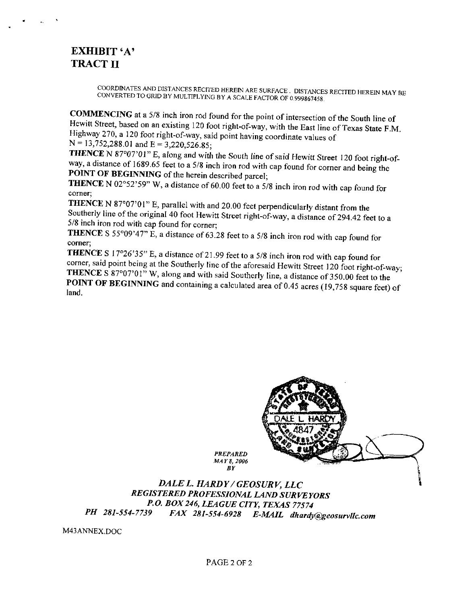## EXHIBIT 'A' TRACT II

COORDINATES AND DISTANCES RECITED HEREIN ARE SURFACE, DISTANCES RECITED HEREIN MAY BE CONVERTED TO GRID BY MULTIPLYING BY <sup>A</sup> SCALE FACTOR OF 0.999867458.

COMMENCING at <sup>a</sup> 5/8 inch iron rod found for the point of intersection of the South line of Hewitt Street, based on an existing 120 foot right-of-way, with the East line of Texas State F.M.<br>Highway 270, a 120 foot right-of-way, said point having coordinate values of<br>N = 13,752,288.01 and E = 3,220,526.85;<br>THENCE Highway 270, a 120 foot right-of-way, said point having coordinate values of  $N = 13,752,288.01$  and  $E = 3.220,526.85$ .

THENCE N 87°07'01" E, along and with the South line of said Hewitt Street 120 foot right-ofway, a distance of 1689.65 feet to <sup>a</sup> 5/8 inch iron rod with cap found for corner and being the POINT OF BEGINNING of the herein described parcel;

THENCE N 02°52'59" W, a distance of 60.00 feet to a 5/8 inch iron rod with cap found for comer;

THENCE N 87°07'01" E, parallel with and 20.00 feet perpendicularly distant from the Southerly line of the original <sup>40</sup> foot Hewitt Street right -of -way, a distance of 294.42 feet to <sup>a</sup> 5/8 inch iron rod with cap found for corner;

**THENCE** S 55°09'47" E, a distance of 63.28 feet to a 5/8 inch iron rod with cap found for corner;

THENCE S 17°26'35" E, a distance of 21.99 feet to a 5/8 inch iron rod with cap found for corner, said point being at the Southerly line of the aforesaid Hewitt Street 120 foot right-of-way; THENCE S 87°07'01" W, along and with said Southerly line, a distance of 350.00 feet to the POINT OF BEGINNING and containing a calculated area of 0.45 acres (19,758 square feet) of land.



REGISTERED PROFESSIONAL LAND SURVEYORS P.O. BOX 246, LEAGUE CITY, TEXAS 77574<br>PH 281-554-7739 FAX 281-554-6928 F-MAIL dhardo FAX 281-554-6928 E-MAIL dhardy@geosurvllc.com

M43ANNEX,DOC